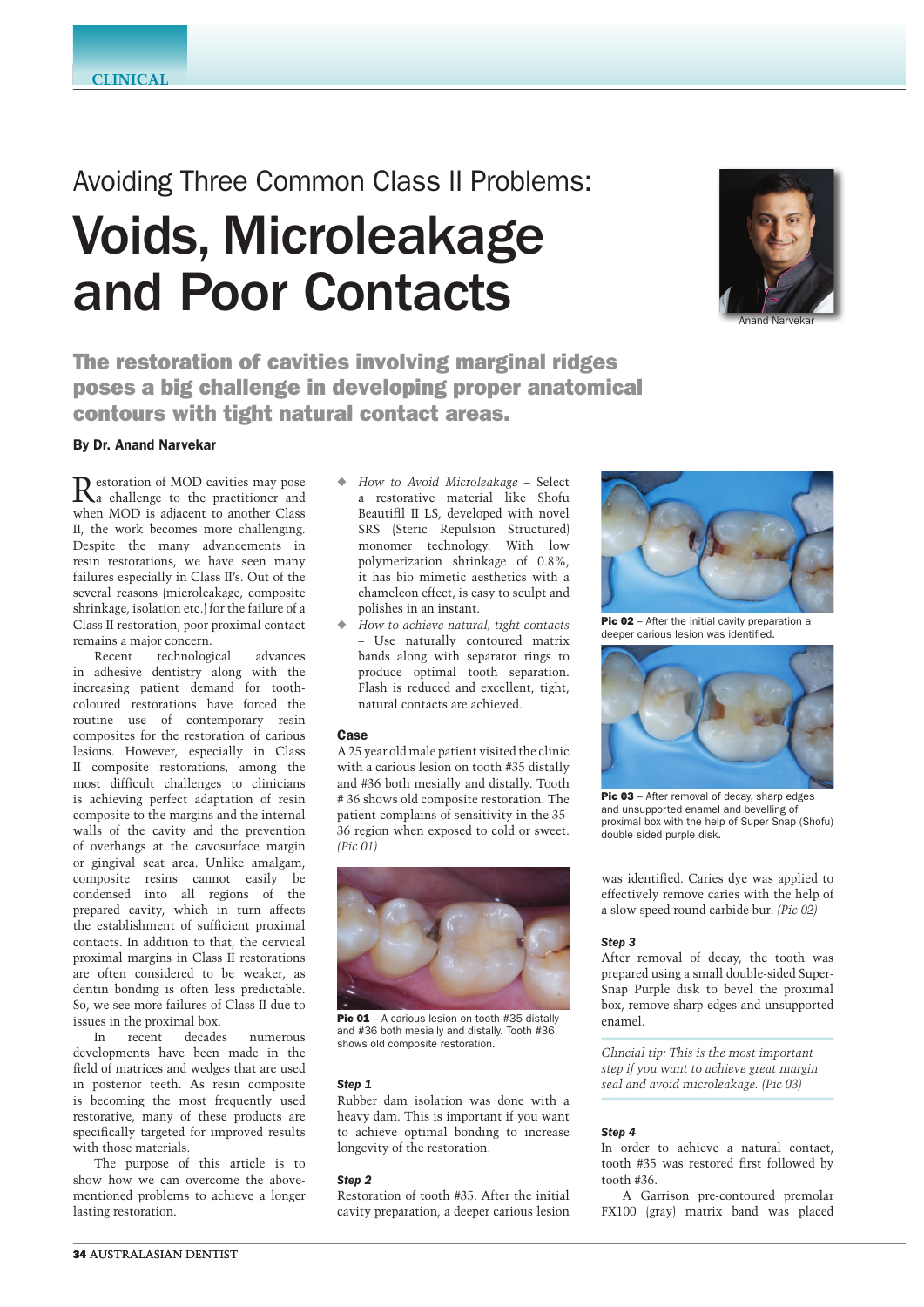# Avoiding Three Common Class II Problems: Voids, Microleakage and Poor Contacts



The restoration of cavities involving marginal ridges poses a big challenge in developing proper anatomical contours with tight natural contact areas.

# By Dr. Anand Narvekar

Restoration of MOD cavities may pose a challenge to the practitioner and when MOD is adjacent to another Class II, the work becomes more challenging. Despite the many advancements in resin restorations, we have seen many failures especially in Class II's. Out of the several reasons (microleakage, composite shrinkage, isolation etc.) for the failure of a Class II restoration, poor proximal contact remains a major concern.

Recent technological advances in adhesive dentistry along with the increasing patient demand for toothcoloured restorations have forced the routine use of contemporary resin composites for the restoration of carious lesions. However, especially in Class II composite restorations, among the most difficult challenges to clinicians is achieving perfect adaptation of resin composite to the margins and the internal walls of the cavity and the prevention of overhangs at the cavosurface margin or gingival seat area. Unlike amalgam, composite resins cannot easily be condensed into all regions of the prepared cavity, which in turn affects the establishment of sufficient proximal contacts. In addition to that, the cervical proximal margins in Class II restorations are often considered to be weaker, as dentin bonding is often less predictable. So, we see more failures of Class II due to issues in the proximal box.

In recent decades numerous developments have been made in the field of matrices and wedges that are used in posterior teeth. As resin composite is becoming the most frequently used restorative, many of these products are specifically targeted for improved results with those materials.

The purpose of this article is to show how we can overcome the abovementioned problems to achieve a longer lasting restoration.

- ◆ *How to Avoid Microleakage* Select a restorative material like Shofu Beautifil II LS, developed with novel SRS (Steric Repulsion Structured) monomer technology. With low polymerization shrinkage of 0.8%, it has bio mimetic aesthetics with a chameleon effect, is easy to sculpt and polishes in an instant.
- ◆ How to achieve natural, tight contacts *–* Use naturally contoured matrix bands along with separator rings to produce optimal tooth separation. Flash is reduced and excellent, tight, natural contacts are achieved.

## Case

A 25 year old male patient visited the clinic with a carious lesion on tooth #35 distally and #36 both mesially and distally. Tooth # 36 shows old composite restoration. The patient complains of sensitivity in the 35- 36 region when exposed to cold or sweet. *(Pic 01)*



Pic 01 - A carious lesion on tooth #35 distally and #36 both mesially and distally. Tooth #36 shows old composite restoration.

## *Step 1*

Rubber dam isolation was done with a heavy dam. This is important if you want to achieve optimal bonding to increase longevity of the restoration.

## *Step 2*

Restoration of tooth #35. After the initial cavity preparation, a deeper carious lesion



Pic 02 – After the initial cavity preparation a deeper carious lesion was identified.



Pic 03 - After removal of decay, sharp edges and unsupported enamel and bevelling of proximal box with the help of Super Snap (Shofu) double sided purple disk.

was identified. Caries dye was applied to effectively remove caries with the help of a slow speed round carbide bur. *(Pic 02)*

#### *Step 3*

After removal of decay, the tooth was prepared using a small double-sided Super-Snap Purple disk to bevel the proximal box, remove sharp edges and unsupported enamel.

*Clincial tip: This is the most important step if you want to achieve great margin seal and avoid microleakage. (Pic 03)*

## *Step 4*

In order to achieve a natural contact, tooth #35 was restored first followed by tooth #36.

A Garrison pre-contoured premolar FX100 (gray) matrix band was placed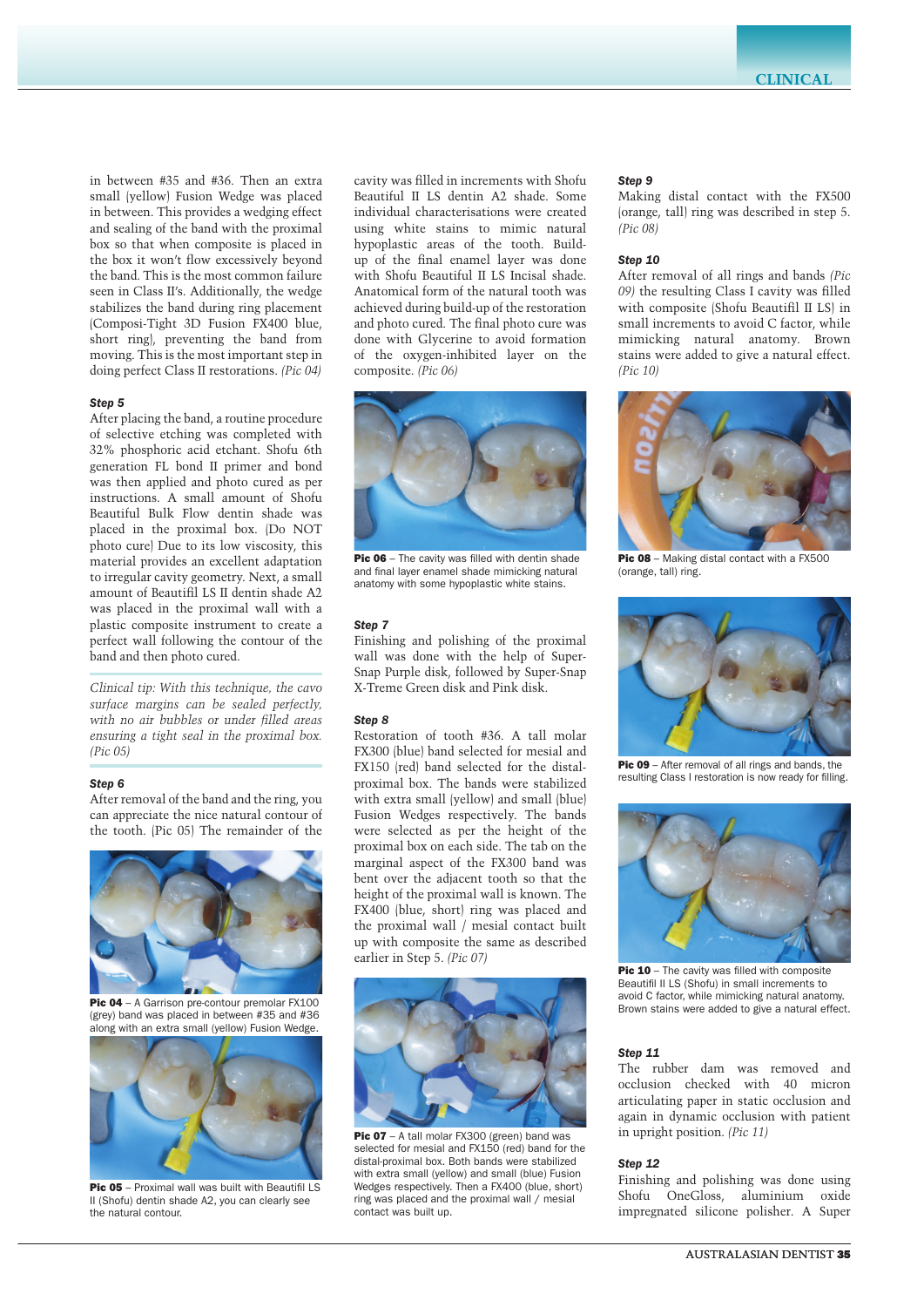in between #35 and #36. Then an extra small (yellow) Fusion Wedge was placed in between. This provides a wedging effect and sealing of the band with the proximal box so that when composite is placed in the box it won't flow excessively beyond the band. This is the most common failure seen in Class II's. Additionally, the wedge stabilizes the band during ring placement (Composi-Tight 3D Fusion FX400 blue, short ring), preventing the band from moving. This is the most important step in doing perfect Class II restorations. *(Pic 04)*

#### *Step 5*

After placing the band, a routine procedure of selective etching was completed with 32% phosphoric acid etchant. Shofu 6th generation FL bond II primer and bond was then applied and photo cured as per instructions. A small amount of Shofu Beautiful Bulk Flow dentin shade was placed in the proximal box. (Do NOT photo cure) Due to its low viscosity, this material provides an excellent adaptation to irregular cavity geometry. Next, a small amount of Beautifil LS II dentin shade A2 was placed in the proximal wall with a plastic composite instrument to create a perfect wall following the contour of the band and then photo cured.

*Clinical tip: With this technique, the cavo surface margins can be sealed perfectly, with no air bubbles or under filled areas ensuring a tight seal in the proximal box. (Pic 05)*

#### *Step 6*

After removal of the band and the ring, you can appreciate the nice natural contour of the tooth. (Pic 05) The remainder of the



Pic 04 – A Garrison pre-contour premolar FX100 (grey) band was placed in between #35 and #36 along with an extra small (yellow) Fusion Wedge.



Pic 05 - Proximal wall was built with Beautifil LS II (Shofu) dentin shade A2, you can clearly see the natural contour.

cavity was filled in increments with Shofu Beautiful II LS dentin A2 shade. Some individual characterisations were created using white stains to mimic natural hypoplastic areas of the tooth. Buildup of the final enamel layer was done with Shofu Beautiful II LS Incisal shade. Anatomical form of the natural tooth was achieved during build-up of the restoration and photo cured. The final photo cure was done with Glycerine to avoid formation of the oxygen-inhibited layer on the composite. *(Pic 06)*



**Pic 06** – The cavity was filled with dentin shade and final layer enamel shade mimicking natural anatomy with some hypoplastic white stains.

#### *Step 7*

Finishing and polishing of the proximal wall was done with the help of Super-Snap Purple disk, followed by Super-Snap X-Treme Green disk and Pink disk.

## *Step 8*

Restoration of tooth #36. A tall molar FX300 (blue) band selected for mesial and FX150 (red) band selected for the distalproximal box. The bands were stabilized with extra small (yellow) and small (blue) Fusion Wedges respectively. The bands were selected as per the height of the proximal box on each side. The tab on the marginal aspect of the FX300 band was bent over the adjacent tooth so that the height of the proximal wall is known. The FX400 (blue, short) ring was placed and the proximal wall / mesial contact built up with composite the same as described earlier in Step 5. *(Pic 07)*



Pic 07 - A tall molar FX300 (green) band was selected for mesial and FX150 (red) band for the distal-proximal box. Both bands were stabilized with extra small (yellow) and small (blue) Fusion Wedges respectively. Then a FX400 (blue, short) ring was placed and the proximal wall / mesial contact was built up.

## *Step 9*

Making distal contact with the FX500 (orange, tall) ring was described in step 5. *(Pic 08)*

### *Step 10*

After removal of all rings and bands *(Pic 09)* the resulting Class I cavity was filled with composite (Shofu Beautifil II LS) in small increments to avoid C factor, while mimicking natural anatomy. Brown stains were added to give a natural effect. *(Pic 10)*



Pic 08 – Making distal contact with a FX500 (orange, tall) ring.



Pic 09 – After removal of all rings and bands, the resulting Class I restoration is now ready for filling.



Pic 10 - The cavity was filled with composite Beautifil II LS (Shofu) in small increments to avoid C factor, while mimicking natural anatomy. Brown stains were added to give a natural effect.

#### *Step 11*

The rubber dam was removed and occlusion checked with 40 micron articulating paper in static occlusion and again in dynamic occlusion with patient in upright position. *(Pic 11)*

# *Step 12*

Finishing and polishing was done using Shofu OneGloss, aluminium oxide impregnated silicone polisher. A Super